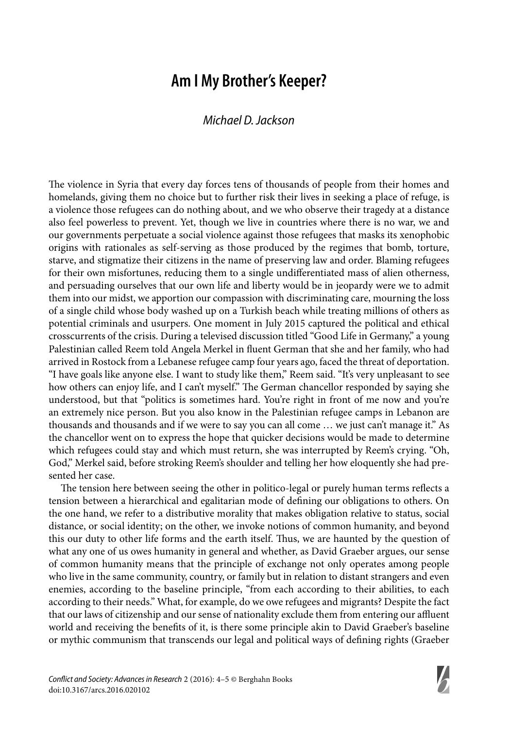## **Am I My Brother's Keeper?**

## Michael D. Jackson

The violence in Syria that every day forces tens of thousands of people from their homes and homelands, giving them no choice but to further risk their lives in seeking a place of refuge, is a violence those refugees can do nothing about, and we who observe their tragedy at a distance also feel powerless to prevent. Yet, though we live in countries where there is no war, we and our governments perpetuate a social violence against those refugees that masks its xenophobic origins with rationales as self-serving as those produced by the regimes that bomb, torture, starve, and stigmatize their citizens in the name of preserving law and order. Blaming refugees for their own misfortunes, reducing them to a single undifferentiated mass of alien otherness, and persuading ourselves that our own life and liberty would be in jeopardy were we to admit them into our midst, we apportion our compassion with discriminating care, mourning the loss of a single child whose body washed up on a Turkish beach while treating millions of others as potential criminals and usurpers. One moment in July 2015 captured the political and ethical crosscurrents of the crisis. During a televised discussion titled "Good Life in Germany," a young Palestinian called Reem told Angela Merkel in fluent German that she and her family, who had arrived in Rostock from a Lebanese refugee camp four years ago, faced the threat of deportation. "I have goals like anyone else. I want to study like them," Reem said. "It's very unpleasant to see how others can enjoy life, and I can't myself." The German chancellor responded by saying she understood, but that "politics is sometimes hard. You're right in front of me now and you're an extremely nice person. But you also know in the Palestinian refugee camps in Lebanon are thousands and thousands and if we were to say you can all come … we just can't manage it." As the chancellor went on to express the hope that quicker decisions would be made to determine which refugees could stay and which must return, she was interrupted by Reem's crying. "Oh, God," Merkel said, before stroking Reem's shoulder and telling her how eloquently she had presented her case.

The tension here between seeing the other in politico-legal or purely human terms reflects a tension between a hierarchical and egalitarian mode of defining our obligations to others. On the one hand, we refer to a distributive morality that makes obligation relative to status, social distance, or social identity; on the other, we invoke notions of common humanity, and beyond this our duty to other life forms and the earth itself. Thus, we are haunted by the question of what any one of us owes humanity in general and whether, as David Graeber argues, our sense of common humanity means that the principle of exchange not only operates among people who live in the same community, country, or family but in relation to distant strangers and even enemies, according to the baseline principle, "from each according to their abilities, to each according to their needs." What, for example, do we owe refugees and migrants? Despite the fact that our laws of citizenship and our sense of nationality exclude them from entering our affluent world and receiving the benefits of it, is there some principle akin to David Graeber's baseline or mythic communism that transcends our legal and political ways of defining rights (Graeber